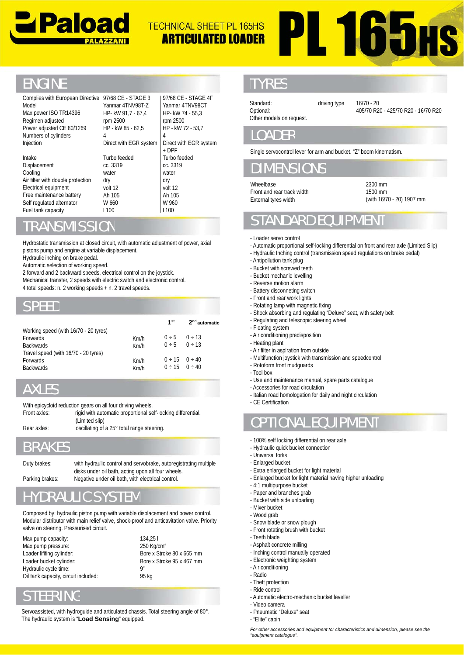

# **PL 165HS TECHNICAL SHEET PL 165HS ARTICULATED LOADER**

## ENGINE

| Complies with European Directive 97/68 CE - STAGE 3<br>Model<br>Max power ISO TR14396<br>Regimen adjusted                                                                                                                                                                                                                                                                                                                                   | Yanmar 4TNV98T-Z<br>HP- kW 91,7 - 67,4<br>rpm 2500                                                         | HP- kW 74 - 55,3<br>rpm 2500                          | 97/68 CE - STAGE 4F<br>Yanmar 4TNV98CT                            | Standard:<br>Optional:<br>Other models on request.                                                                                                                                                                                                                                                                                                | driving type | $16/70 - 20$<br>405/70 R20 - 425/70 R20 -                                                                                                                      |  |
|---------------------------------------------------------------------------------------------------------------------------------------------------------------------------------------------------------------------------------------------------------------------------------------------------------------------------------------------------------------------------------------------------------------------------------------------|------------------------------------------------------------------------------------------------------------|-------------------------------------------------------|-------------------------------------------------------------------|---------------------------------------------------------------------------------------------------------------------------------------------------------------------------------------------------------------------------------------------------------------------------------------------------------------------------------------------------|--------------|----------------------------------------------------------------------------------------------------------------------------------------------------------------|--|
| Power adjusted CE 80/1269<br>Numbers of cylinders<br>Injection                                                                                                                                                                                                                                                                                                                                                                              | HP - kW 85 - 62,5<br>4<br>Direct with EGR system                                                           | HP - kW 72 - 53,7<br>4<br>Direct with EGR system      |                                                                   | <b>LOADER</b>                                                                                                                                                                                                                                                                                                                                     |              |                                                                                                                                                                |  |
|                                                                                                                                                                                                                                                                                                                                                                                                                                             |                                                                                                            | + DPF                                                 |                                                                   | Single servocontrol lever for arm and bucket. "Z" boom kinematism.                                                                                                                                                                                                                                                                                |              |                                                                                                                                                                |  |
| Intake<br>Displacement<br>Cooling                                                                                                                                                                                                                                                                                                                                                                                                           | Turbo feeded<br>cc. 3319<br>water                                                                          | Turbo feeded<br>cc. 3319<br>water                     |                                                                   | <b>DIMENSIONS</b>                                                                                                                                                                                                                                                                                                                                 |              |                                                                                                                                                                |  |
| Air filter with double protection<br>Electrical equipment                                                                                                                                                                                                                                                                                                                                                                                   | dry<br>volt 12                                                                                             | dry<br>volt 12                                        |                                                                   | Wheelbase                                                                                                                                                                                                                                                                                                                                         |              | 2300 mm                                                                                                                                                        |  |
| Free maintenance battery                                                                                                                                                                                                                                                                                                                                                                                                                    | Ah 105                                                                                                     | Ah 105                                                |                                                                   | Front and rear track width                                                                                                                                                                                                                                                                                                                        |              | 1500 mm<br>(with 16/70 - 20) 1907 r                                                                                                                            |  |
| Self regulated alternator<br>Fuel tank capacity                                                                                                                                                                                                                                                                                                                                                                                             | W 660<br>1100                                                                                              | W 960<br>1100                                         |                                                                   | External tyres width                                                                                                                                                                                                                                                                                                                              |              |                                                                                                                                                                |  |
| <b>TRANSMISSION</b>                                                                                                                                                                                                                                                                                                                                                                                                                         |                                                                                                            |                                                       |                                                                   | <b>STANDARD EQUIPMENT</b>                                                                                                                                                                                                                                                                                                                         |              |                                                                                                                                                                |  |
| Hydrostatic transmission at closed circuit, with automatic adjustment of power, axial<br>pistons pump and engine at variable displacement.<br>Hydraulic inching on brake pedal.<br>Automatic selection of working speed.<br>2 forward and 2 backward speeds, electrical control on the joystick.<br>Mechanical transfer, 2 speeds with electric switch and electronic control.<br>4 total speeds: n. 2 working speeds + n. 2 travel speeds. |                                                                                                            |                                                       |                                                                   | - Loader servo control<br>- Antipollution tank plug<br>- Bucket with screwed teeth<br>- Bucket mechanic levelling<br>- Reverse motion alarm<br>- Battery disconneting switch<br>- Front and rear work lights                                                                                                                                      |              | - Automatic proportional self-locking differential on front and rear axle (Limi<br>- Hydraulic Inching control (transmission speed regulations on brake pedal) |  |
| <b>SPEED</b>                                                                                                                                                                                                                                                                                                                                                                                                                                |                                                                                                            |                                                       |                                                                   | - Rotating lamp with magnetic fixing                                                                                                                                                                                                                                                                                                              |              |                                                                                                                                                                |  |
| Working speed (with 16/70 - 20 tyres)<br>Forwards<br><b>Backwards</b><br>Travel speed (with 16/70 - 20 tyres)<br>Forwards<br><b>Backwards</b>                                                                                                                                                                                                                                                                                               | Km/h<br>Km/h<br>Km/h<br>Km/h                                                                               | 1 <sup>st</sup><br>0 ÷ 5<br>0 ÷ 5<br>0 ÷ 15<br>0 ÷ 15 | 2 <sup>nd</sup> automatic<br>0 ÷ 13<br>0 ÷ 13<br>0 ÷ 40<br>0 ÷ 40 | - Shock absorbing and regulating "Deluxe" seat, with safety belt<br>- Regulating and telescopic steering wheel<br>- Floating system<br>- Air conditioning predisposition<br>- Heating plant<br>- Air filter in aspiration from outside<br>- Multifunction joystick with transmission and speedcontrol<br>- Rotoform front mudguards<br>- Tool box |              |                                                                                                                                                                |  |
| <b>AXLES</b>                                                                                                                                                                                                                                                                                                                                                                                                                                |                                                                                                            |                                                       |                                                                   | - Use and maintenance manual, spare parts catalogue<br>- Accessories for road circulation<br>- Italian road homologation for daily and night circulation                                                                                                                                                                                          |              |                                                                                                                                                                |  |
| With epicycloid reduction gears on all four driving wheels.                                                                                                                                                                                                                                                                                                                                                                                 |                                                                                                            |                                                       |                                                                   | - CE Certification                                                                                                                                                                                                                                                                                                                                |              |                                                                                                                                                                |  |
| Front axles:<br>(Limited slip)<br>Rear axles:                                                                                                                                                                                                                                                                                                                                                                                               | rigid with automatic proportional self-locking differential.<br>oscillating of a 25° total range steering. |                                                       |                                                                   | <b>OPTIONAL EQUIPMENT</b>                                                                                                                                                                                                                                                                                                                         |              |                                                                                                                                                                |  |
| <b>BRAKES</b>                                                                                                                                                                                                                                                                                                                                                                                                                               |                                                                                                            |                                                       |                                                                   | 100% self locking differential on rear axle<br>- Hydraulic quick bucket connection<br>- Universal forks                                                                                                                                                                                                                                           |              |                                                                                                                                                                |  |
| Duty brakes:                                                                                                                                                                                                                                                                                                                                                                                                                                | with hydraulic control and servobrake, autoregistrating multiple                                           |                                                       |                                                                   | - Enlarged bucket                                                                                                                                                                                                                                                                                                                                 |              |                                                                                                                                                                |  |
| Parking brakes:                                                                                                                                                                                                                                                                                                                                                                                                                             | disks under oil bath, acting upon all four wheels.<br>Negative under oil bath, with electrical control.    |                                                       |                                                                   | - Extra enlarged bucket for light material<br>- Enlarged bucket for light material having higher unloading<br>- 4:1 multipurpose bucket                                                                                                                                                                                                           |              |                                                                                                                                                                |  |
| <b>HYDRAULIC SYSTEM</b>                                                                                                                                                                                                                                                                                                                                                                                                                     |                                                                                                            |                                                       |                                                                   | - Paper and branches grab<br>- Bucket with side unloading                                                                                                                                                                                                                                                                                         |              |                                                                                                                                                                |  |
| Composed by: hydraulic piston pump with variable displacement and power control.<br>Modular distributor with main relief valve, shock-proof and anticavitation valve. Priority<br>valve on steering. Pressurised circuit.                                                                                                                                                                                                                   |                                                                                                            |                                                       |                                                                   | - Mixer bucket<br>- Wood grab<br>- Snow blade or snow plough<br>- Front rotating brush with bucket                                                                                                                                                                                                                                                |              |                                                                                                                                                                |  |
| Max pump capacity:                                                                                                                                                                                                                                                                                                                                                                                                                          | 134,251                                                                                                    |                                                       |                                                                   | - Teeth blade                                                                                                                                                                                                                                                                                                                                     |              |                                                                                                                                                                |  |
| Max pump pressure:<br>Loader lifiting cylinder:                                                                                                                                                                                                                                                                                                                                                                                             | 250 Kg/cm <sup>2</sup>                                                                                     |                                                       |                                                                   | - Asphalt concrete milling<br>- Inching control manually operated                                                                                                                                                                                                                                                                                 |              |                                                                                                                                                                |  |
| Bore x Stroke 80 x 665 mm<br>Loader bucket cylinder:<br>Bore x Stroke 95 x 467 mm                                                                                                                                                                                                                                                                                                                                                           |                                                                                                            |                                                       |                                                                   | - Electronic weighting system                                                                                                                                                                                                                                                                                                                     |              |                                                                                                                                                                |  |

#### TRANSMISSION

#### SPEED

| Self regulated alternator<br>Fuel tank capacity                                                                                                                                                                                                                                                                                                                                                                                             | 1100                                                             | W 660 |              |                                                    |                           |
|---------------------------------------------------------------------------------------------------------------------------------------------------------------------------------------------------------------------------------------------------------------------------------------------------------------------------------------------------------------------------------------------------------------------------------------------|------------------------------------------------------------------|-------|--------------|----------------------------------------------------|---------------------------|
| <b>TRANSMISSION</b>                                                                                                                                                                                                                                                                                                                                                                                                                         |                                                                  |       |              |                                                    |                           |
| Hydrostatic transmission at closed circuit, with automatic adjustment of power, axial<br>pistons pump and engine at variable displacement.<br>Hydraulic inching on brake pedal.<br>Automatic selection of working speed.<br>2 forward and 2 backward speeds, electrical control on the joystick.<br>Mechanical transfer, 2 speeds with electric switch and electronic control.<br>4 total speeds: n. 2 working speeds + n. 2 travel speeds. |                                                                  |       |              |                                                    |                           |
| <b>SPEED</b>                                                                                                                                                                                                                                                                                                                                                                                                                                |                                                                  |       |              |                                                    |                           |
| Working speed (with 16/70 - 20 tyres)                                                                                                                                                                                                                                                                                                                                                                                                       |                                                                  |       |              | 1 <sup>st</sup>                                    | 2 <sup>nd</sup> automatic |
| Forwards                                                                                                                                                                                                                                                                                                                                                                                                                                    |                                                                  |       | Km/h         | 0 ÷ 5                                              | $0 \div 13$               |
| <b>Backwards</b>                                                                                                                                                                                                                                                                                                                                                                                                                            |                                                                  |       | Km/h         | 0 ÷ 5                                              | 0 ÷ 13                    |
| Travel speed (with 16/70 - 20 tyres)                                                                                                                                                                                                                                                                                                                                                                                                        |                                                                  |       |              |                                                    |                           |
| <b>Forwards</b><br><b>Backwards</b>                                                                                                                                                                                                                                                                                                                                                                                                         |                                                                  |       | Km/h<br>Km/h | $0 \div 15$ $0 \div 40$<br>$0 \div 15$ $0 \div 40$ |                           |
|                                                                                                                                                                                                                                                                                                                                                                                                                                             |                                                                  |       |              |                                                    |                           |
| <b>AXLES</b>                                                                                                                                                                                                                                                                                                                                                                                                                                |                                                                  |       |              |                                                    |                           |
| With epicycloid reduction gears on all four driving wheels.                                                                                                                                                                                                                                                                                                                                                                                 |                                                                  |       |              |                                                    |                           |
| Front axles:                                                                                                                                                                                                                                                                                                                                                                                                                                | rigid with automatic proportional self-locking differential.     |       |              |                                                    |                           |
| Rear axles:                                                                                                                                                                                                                                                                                                                                                                                                                                 | (Limited slip)                                                   |       |              |                                                    |                           |
|                                                                                                                                                                                                                                                                                                                                                                                                                                             | oscillating of a 25° total range steering.                       |       |              |                                                    |                           |
| <b>BRAKES</b>                                                                                                                                                                                                                                                                                                                                                                                                                               |                                                                  |       |              |                                                    |                           |
| Duty brakes:                                                                                                                                                                                                                                                                                                                                                                                                                                | with hydraulic control and servobrake, autoregistrating multiple |       |              |                                                    |                           |
| disks under oil bath, acting upon all four wheels.                                                                                                                                                                                                                                                                                                                                                                                          |                                                                  |       |              |                                                    |                           |
| Parking brakes:                                                                                                                                                                                                                                                                                                                                                                                                                             | Negative under oil bath, with electrical control.                |       |              |                                                    |                           |
| <b>HYDRAULIC SYSTEM</b>                                                                                                                                                                                                                                                                                                                                                                                                                     |                                                                  |       |              |                                                    |                           |

## AXLES

## BRAKES

95 kg

## **/DRAULIC SYSTEM**

Max pump capacity: Max pump pressure: Loader lifiting cylinder: Loader bucket cylinder: Hydraulic cycle time: Oil tank capacity, circuit included: 134,25 l 250 Kg/cm2 Bore x Stroke 80 x 665 mm Bore x Stroke 95 x 467 mm 9"

## STEERING

Servoassisted, with hydroguide and articulated chassis. Total steering angle of 80°. The hydraulic system is "**Load Sensing**" equipped.

#### **TYRES**

driving type 16/70 - 20 405/70 R20 - 425/70 R20 - 16/70 R20

#### LOADER

## DIMENSIOI

2300 mm 1500 mm (with 16/70 - 20) 1907 mm

# IDARD FOI

- Loader servo control
- Automatic proportional self-locking differential on front and rear axle (Limited Slip)
- Hydraulic Inching control (transmission speed regulations on brake pedal)
- Antipollution tank plug
- Bucket with screwed teeth
- Bucket mechanic levelling
- Reverse motion alarm
- Battery disconneting switch
- Front and rear work lights
- Rotating lamp with magnetic fixing
- Shock absorbing and regulating "Deluxe" seat, with safety belt
- Regulating and telescopic steering wheel
- Floating system
- Air conditioning predisposition
- Heating plant
- Air filter in aspiration from outside
- Multifunction joystick with transmission and speedcontrol
- Rotoform front mudguards
- Tool box
- Use and maintenance manual, spare parts catalogue
- Accessories for road circulation
- Italian road homologation for daily and night circulation
- CE Certification

- 100% self locking differential on rear axle
- Hydraulic quick bucket connection
- Universal forks
- Enlarged bucket
- Extra enlarged bucket for light material
- Enlarged bucket for light material having higher unloading
- 4:1 multipurpose bucket
- Paper and branches grab
- Bucket with side unloading
- Mixer bucket
- Wood grab
- Snow blade or snow plough -
- Front rotating brush with bucket
- Teeth blade
- Asphalt concrete milling
- Inching control manually operated
- Electronic weighting system
- Air conditioning
- Radio
- Theft protection - Ride control
- Automatic electro-mechanic bucket leveller
- Video camera
- Pneumatic "Deluxe" seat
- "Elite" cabin

*For other accessories and equipment for characteristics and dimension, please see the for characteristics the "equipment catalogue".*